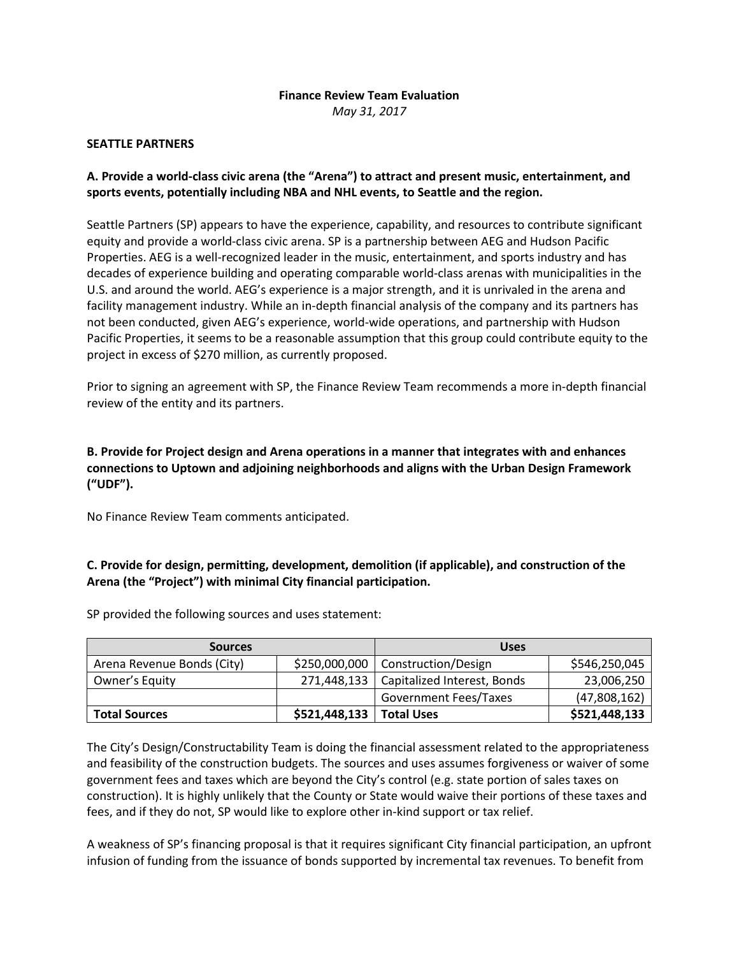# **Finance Review Team Evaluation**

*May 31, 2017*

#### **SEATTLE PARTNERS**

## **A. Provide a world-class civic arena (the "Arena") to attract and present music, entertainment, and sports events, potentially including NBA and NHL events, to Seattle and the region.**

Seattle Partners (SP) appears to have the experience, capability, and resources to contribute significant equity and provide a world-class civic arena. SP is a partnership between AEG and Hudson Pacific Properties. AEG is a well-recognized leader in the music, entertainment, and sports industry and has decades of experience building and operating comparable world-class arenas with municipalities in the U.S. and around the world. AEG's experience is a major strength, and it is unrivaled in the arena and facility management industry. While an in-depth financial analysis of the company and its partners has not been conducted, given AEG's experience, world-wide operations, and partnership with Hudson Pacific Properties, it seems to be a reasonable assumption that this group could contribute equity to the project in excess of \$270 million, as currently proposed.

Prior to signing an agreement with SP, the Finance Review Team recommends a more in-depth financial review of the entity and its partners.

# **B. Provide for Project design and Arena operations in a manner that integrates with and enhances connections to Uptown and adjoining neighborhoods and aligns with the Urban Design Framework ("UDF").**

No Finance Review Team comments anticipated.

# **C. Provide for design, permitting, development, demolition (if applicable), and construction of the Arena (the "Project") with minimal City financial participation.**

| <b>Sources</b>             |               | <b>Uses</b>                         |               |
|----------------------------|---------------|-------------------------------------|---------------|
| Arena Revenue Bonds (City) |               | \$250,000,000   Construction/Design | \$546,250,045 |
| Owner's Equity             | 271,448,133   | Capitalized Interest, Bonds         | 23,006,250    |
|                            |               | <b>Government Fees/Taxes</b>        | (47,808,162)  |
| <b>Total Sources</b>       | \$521,448,133 | <b>Total Uses</b>                   | \$521,448,133 |

SP provided the following sources and uses statement:

The City's Design/Constructability Team is doing the financial assessment related to the appropriateness and feasibility of the construction budgets. The sources and uses assumes forgiveness or waiver of some government fees and taxes which are beyond the City's control (e.g. state portion of sales taxes on construction). It is highly unlikely that the County or State would waive their portions of these taxes and fees, and if they do not, SP would like to explore other in-kind support or tax relief.

A weakness of SP's financing proposal is that it requires significant City financial participation, an upfront infusion of funding from the issuance of bonds supported by incremental tax revenues. To benefit from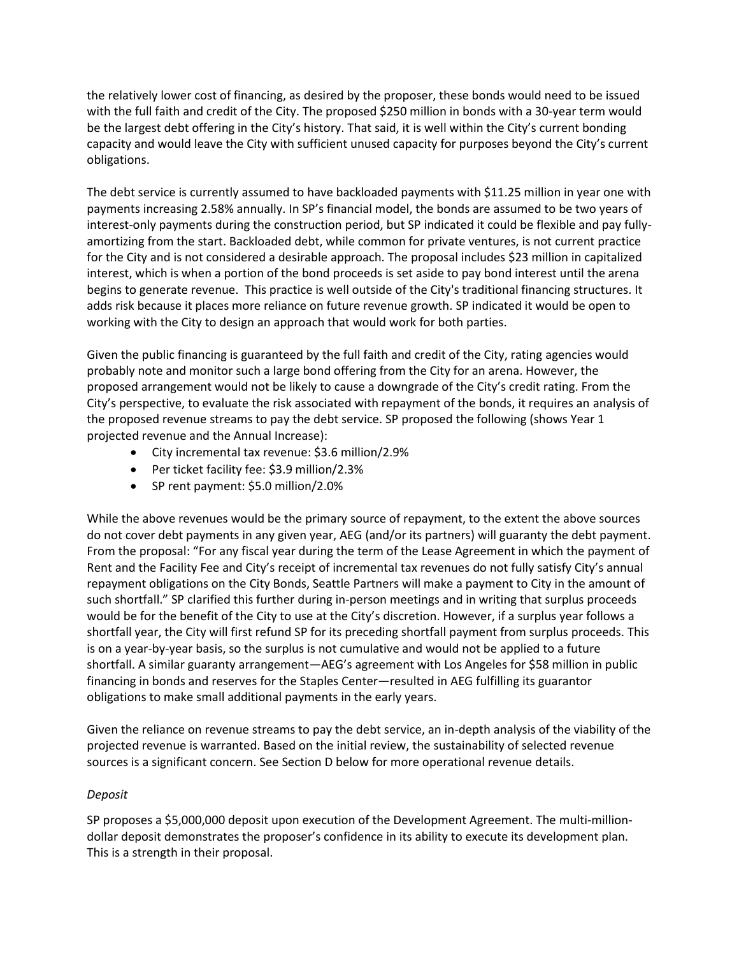the relatively lower cost of financing, as desired by the proposer, these bonds would need to be issued with the full faith and credit of the City. The proposed \$250 million in bonds with a 30-year term would be the largest debt offering in the City's history. That said, it is well within the City's current bonding capacity and would leave the City with sufficient unused capacity for purposes beyond the City's current obligations.

The debt service is currently assumed to have backloaded payments with \$11.25 million in year one with payments increasing 2.58% annually. In SP's financial model, the bonds are assumed to be two years of interest-only payments during the construction period, but SP indicated it could be flexible and pay fullyamortizing from the start. Backloaded debt, while common for private ventures, is not current practice for the City and is not considered a desirable approach. The proposal includes \$23 million in capitalized interest, which is when a portion of the bond proceeds is set aside to pay bond interest until the arena begins to generate revenue. This practice is well outside of the City's traditional financing structures. It adds risk because it places more reliance on future revenue growth. SP indicated it would be open to working with the City to design an approach that would work for both parties.

Given the public financing is guaranteed by the full faith and credit of the City, rating agencies would probably note and monitor such a large bond offering from the City for an arena. However, the proposed arrangement would not be likely to cause a downgrade of the City's credit rating. From the City's perspective, to evaluate the risk associated with repayment of the bonds, it requires an analysis of the proposed revenue streams to pay the debt service. SP proposed the following (shows Year 1 projected revenue and the Annual Increase):

- City incremental tax revenue: \$3.6 million/2.9%
- Per ticket facility fee: \$3.9 million/2.3%
- SP rent payment: \$5.0 million/2.0%

While the above revenues would be the primary source of repayment, to the extent the above sources do not cover debt payments in any given year, AEG (and/or its partners) will guaranty the debt payment. From the proposal: "For any fiscal year during the term of the Lease Agreement in which the payment of Rent and the Facility Fee and City's receipt of incremental tax revenues do not fully satisfy City's annual repayment obligations on the City Bonds, Seattle Partners will make a payment to City in the amount of such shortfall." SP clarified this further during in-person meetings and in writing that surplus proceeds would be for the benefit of the City to use at the City's discretion. However, if a surplus year follows a shortfall year, the City will first refund SP for its preceding shortfall payment from surplus proceeds. This is on a year-by-year basis, so the surplus is not cumulative and would not be applied to a future shortfall. A similar guaranty arrangement—AEG's agreement with Los Angeles for \$58 million in public financing in bonds and reserves for the Staples Center—resulted in AEG fulfilling its guarantor obligations to make small additional payments in the early years.

Given the reliance on revenue streams to pay the debt service, an in-depth analysis of the viability of the projected revenue is warranted. Based on the initial review, the sustainability of selected revenue sources is a significant concern. See Section D below for more operational revenue details.

# *Deposit*

SP proposes a \$5,000,000 deposit upon execution of the Development Agreement. The multi-milliondollar deposit demonstrates the proposer's confidence in its ability to execute its development plan. This is a strength in their proposal.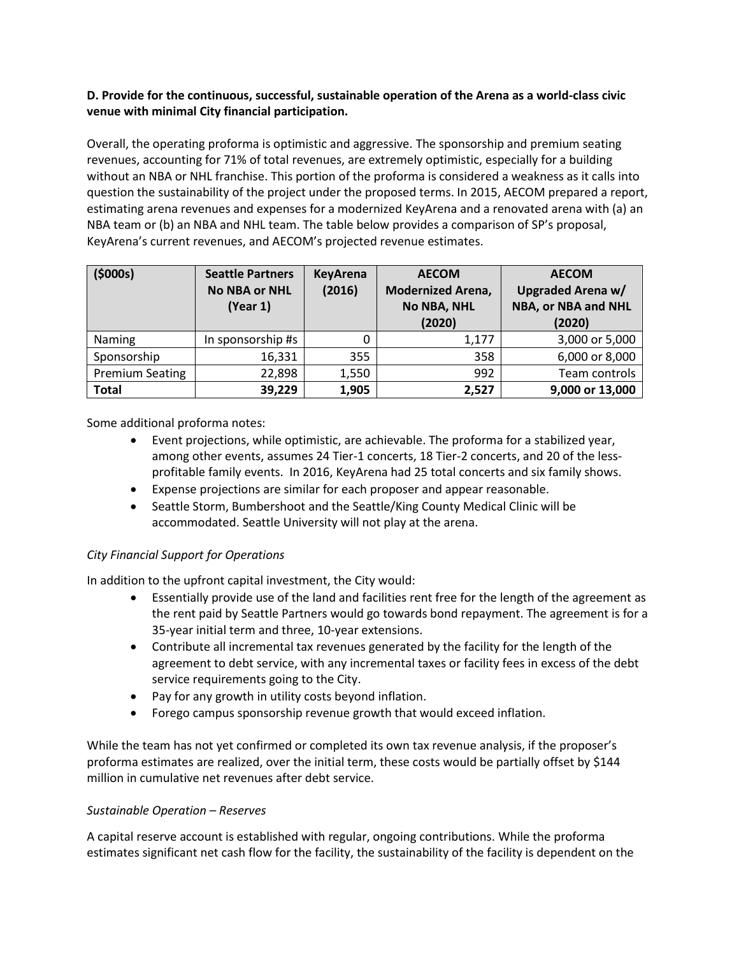# **D. Provide for the continuous, successful, sustainable operation of the Arena as a world-class civic venue with minimal City financial participation.**

Overall, the operating proforma is optimistic and aggressive. The sponsorship and premium seating revenues, accounting for 71% of total revenues, are extremely optimistic, especially for a building without an NBA or NHL franchise. This portion of the proforma is considered a weakness as it calls into question the sustainability of the project under the proposed terms. In 2015, AECOM prepared a report, estimating arena revenues and expenses for a modernized KeyArena and a renovated arena with (a) an NBA team or (b) an NBA and NHL team. The table below provides a comparison of SP's proposal, KeyArena's current revenues, and AECOM's projected revenue estimates.

| (5000s)                | <b>Seattle Partners</b><br><b>No NBA or NHL</b><br>(Year 1) | <b>KeyArena</b><br>(2016) | <b>AECOM</b><br><b>Modernized Arena,</b><br><b>No NBA, NHL</b><br>(2020) | <b>AECOM</b><br>Upgraded Arena w/<br>NBA, or NBA and NHL<br>(2020) |
|------------------------|-------------------------------------------------------------|---------------------------|--------------------------------------------------------------------------|--------------------------------------------------------------------|
| Naming                 | In sponsorship #s                                           |                           | 1,177                                                                    | 3,000 or 5,000                                                     |
| Sponsorship            | 16,331                                                      | 355                       | 358                                                                      | 6,000 or 8,000                                                     |
| <b>Premium Seating</b> | 22,898                                                      | 1,550                     | 992                                                                      | Team controls                                                      |
| <b>Total</b>           | 39,229                                                      | 1,905                     | 2,527                                                                    | 9,000 or 13,000                                                    |

Some additional proforma notes:

- Event projections, while optimistic, are achievable. The proforma for a stabilized year, among other events, assumes 24 Tier-1 concerts, 18 Tier-2 concerts, and 20 of the lessprofitable family events. In 2016, KeyArena had 25 total concerts and six family shows.
- Expense projections are similar for each proposer and appear reasonable.
- Seattle Storm, Bumbershoot and the Seattle/King County Medical Clinic will be accommodated. Seattle University will not play at the arena.

# *City Financial Support for Operations*

In addition to the upfront capital investment, the City would:

- Essentially provide use of the land and facilities rent free for the length of the agreement as the rent paid by Seattle Partners would go towards bond repayment. The agreement is for a 35-year initial term and three, 10-year extensions.
- Contribute all incremental tax revenues generated by the facility for the length of the agreement to debt service, with any incremental taxes or facility fees in excess of the debt service requirements going to the City.
- Pay for any growth in utility costs beyond inflation.
- Forego campus sponsorship revenue growth that would exceed inflation.

While the team has not yet confirmed or completed its own tax revenue analysis, if the proposer's proforma estimates are realized, over the initial term, these costs would be partially offset by \$144 million in cumulative net revenues after debt service.

#### *Sustainable Operation – Reserves*

A capital reserve account is established with regular, ongoing contributions. While the proforma estimates significant net cash flow for the facility, the sustainability of the facility is dependent on the